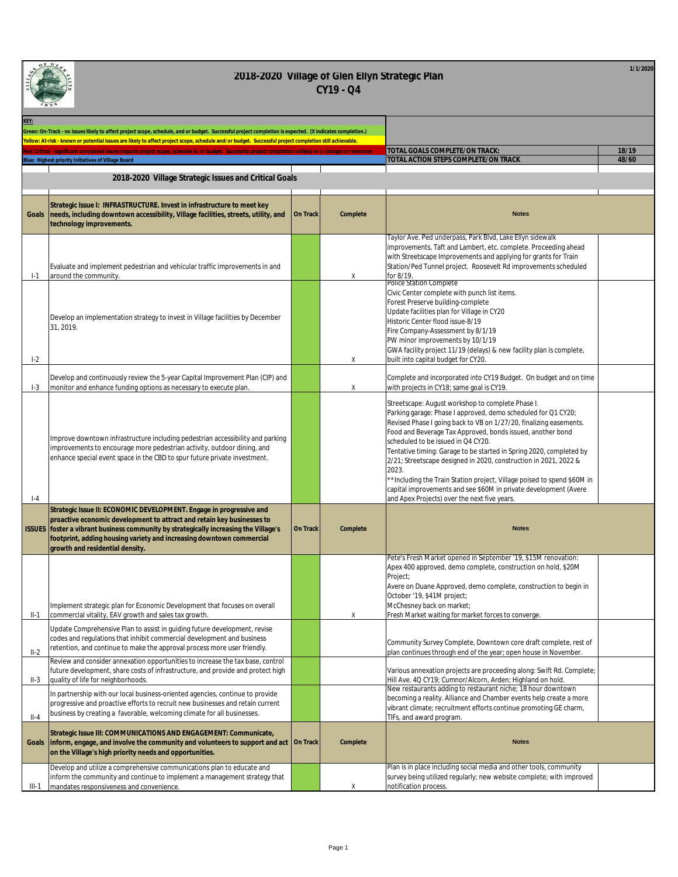| o) | GŁ.            | en e |
|----|----------------|------|
|    |                |      |
|    |                |      |
|    |                |      |
|    | 8 <sup>3</sup> |      |

| KEY:    |                                                                                                                                                                                                                                                                                                                                                  |                 |          |                                                                                                                                                                                                                                                                                                                                                                                                                                                                                                                                                                                                                                                |       |
|---------|--------------------------------------------------------------------------------------------------------------------------------------------------------------------------------------------------------------------------------------------------------------------------------------------------------------------------------------------------|-----------------|----------|------------------------------------------------------------------------------------------------------------------------------------------------------------------------------------------------------------------------------------------------------------------------------------------------------------------------------------------------------------------------------------------------------------------------------------------------------------------------------------------------------------------------------------------------------------------------------------------------------------------------------------------------|-------|
|         | Green: On-Track - no issues likely to affect project scope, schedule, and or budget. Successful project completion is expected. (X indicates completion.)                                                                                                                                                                                        |                 |          |                                                                                                                                                                                                                                                                                                                                                                                                                                                                                                                                                                                                                                                |       |
|         | Yellow: At-risk - known or potential issues are likely to affect project scope, schedule and/or budget. Successful project completion still achievable.                                                                                                                                                                                          |                 |          |                                                                                                                                                                                                                                                                                                                                                                                                                                                                                                                                                                                                                                                |       |
|         | intesplyed issues impacts project scope, schedule &/or budget. Successful project completion unlikely w/o chang                                                                                                                                                                                                                                  |                 |          | TOTAL GOALS COMPLETE/ON TRACK:                                                                                                                                                                                                                                                                                                                                                                                                                                                                                                                                                                                                                 | 18/19 |
|         | Blue: Highest priority Initiatives of Village Board                                                                                                                                                                                                                                                                                              |                 |          | TOTAL ACTION STEPS COMPLETE/ON TRACK                                                                                                                                                                                                                                                                                                                                                                                                                                                                                                                                                                                                           | 48/60 |
|         | 2018-2020 Village Strategic Issues and Critical Goals                                                                                                                                                                                                                                                                                            |                 |          |                                                                                                                                                                                                                                                                                                                                                                                                                                                                                                                                                                                                                                                |       |
| Goals   | Strategic Issue I: INFRASTRUCTURE. Invest in infrastructure to meet key<br>needs, including downtown accessibility, Village facilities, streets, utility, and<br>technology improvements.                                                                                                                                                        | On Track        | Complete | <b>Notes</b>                                                                                                                                                                                                                                                                                                                                                                                                                                                                                                                                                                                                                                   |       |
| $1-1$   | Evaluate and implement pedestrian and vehicular traffic improvements in and<br>around the community.                                                                                                                                                                                                                                             |                 | Χ        | Taylor Ave. Ped underpass, Park Blvd, Lake Ellyn sidewalk<br>improvements, Taft and Lambert, etc. complete. Proceeding ahead<br>with Streetscape Improvements and applying for grants for Train<br>Station/Ped Tunnel project. Roosevelt Rd improvements scheduled<br>for 8/19.                                                                                                                                                                                                                                                                                                                                                                |       |
| $I-2$   | Develop an implementation strategy to invest in Village facilities by December<br>31, 2019.                                                                                                                                                                                                                                                      |                 | Χ        | Police Station Complete<br>Civic Center complete with punch list items.<br>Forest Preserve building-complete<br>Update facilities plan for Village in CY20<br>Historic Center flood issue-8/19<br>Fire Company-Assessment by 8/1/19<br>PW minor improvements by 10/1/19<br>GWA facility project 11/19 (delays) & new facility plan is complete,<br>built into capital budget for CY20.                                                                                                                                                                                                                                                         |       |
| $I-3$   | Develop and continuously review the 5-year Capital Improvement Plan (CIP) and<br>monitor and enhance funding options as necessary to execute plan.                                                                                                                                                                                               |                 | Χ        | Complete and incorporated into CY19 Budget. On budget and on time<br>with projects in CY18; same goal is CY19.                                                                                                                                                                                                                                                                                                                                                                                                                                                                                                                                 |       |
| $-4$    | Improve downtown infrastructure including pedestrian accessibility and parking<br>improvements to encourage more pedestrian activity, outdoor dining, and<br>enhance special event space in the CBD to spur future private investment.                                                                                                           |                 |          | Streetscape: August workshop to complete Phase I.<br>Parking garage: Phase I approved, demo scheduled for Q1 CY20;<br>Revised Phase I going back to VB on 1/27/20, finalizing easements.<br>Food and Beverage Tax Approved, bonds issued, another bond<br>scheduled to be issued in Q4 CY20.<br>Tentative timing: Garage to be started in Spring 2020, completed by<br>2/21; Streetscape designed in 2020, construction in 2021, 2022 &<br>2023.<br>*Including the Train Station project, Village poised to spend \$60M in<br>capital improvements and see \$60M in private development (Avere<br>and Apex Projects) over the next five years. |       |
|         | Strategic Issue II: ECONOMIC DEVELOPMENT. Engage in progressive and<br>proactive economic development to attract and retain key businesses to<br>ISSUES foster a vibrant business community by strategically increasing the Village's<br>footprint, adding housing variety and increasing downtown commercial<br>growth and residential density. | <b>On Track</b> | Complete | <b>Notes</b>                                                                                                                                                                                                                                                                                                                                                                                                                                                                                                                                                                                                                                   |       |
| II-1    | Implement strategic plan for Economic Development that focuses on overall<br>commercial vitality, EAV growth and sales tax growth.                                                                                                                                                                                                               |                 | Χ        | Pete's Fresh Market opened in September '19, \$15M renovation:<br>Apex 400 approved, demo complete, construction on hold, \$20M<br>Project;<br>Avere on Duane Approved, demo complete, construction to begin in<br>October '19, \$41M project;<br>McChesney back on market:<br>Fresh Market waiting for market forces to converge.                                                                                                                                                                                                                                                                                                             |       |
| $II-2$  | Update Comprehensive Plan to assist in guiding future development, revise<br>codes and regulations that inhibit commercial development and business<br>retention, and continue to make the approval process more user friendly.                                                                                                                  |                 |          | Community Survey Complete, Downtown core draft complete, rest of<br>plan continues through end of the year; open house in November.                                                                                                                                                                                                                                                                                                                                                                                                                                                                                                            |       |
| $II-3$  | Review and consider annexation opportunities to increase the tax base, control<br>future development, share costs of infrastructure, and provide and protect high<br>quality of life for neighborhoods.                                                                                                                                          |                 |          | Various annexation projects are proceeding along: Swift Rd. Complete;<br>Hill Ave. 4Q CY19; Cumnor/Alcorn, Arden; Highland on hold.                                                                                                                                                                                                                                                                                                                                                                                                                                                                                                            |       |
| $II-4$  | In partnership with our local business-oriented agencies, continue to provide<br>progressive and proactive efforts to recruit new businesses and retain current<br>business by creating a favorable, welcoming climate for all businesses.                                                                                                       |                 |          | New restaurants adding to restaurant niche; 18 hour downtown<br>becoming a reality. Alliance and Chamber events help create a more<br>vibrant climate; recruitment efforts continue promoting GE charm,<br>TIFs, and award program.                                                                                                                                                                                                                                                                                                                                                                                                            |       |
| Goals   | Strategic Issue III: COMMUNICATIONS AND ENGAGEMENT: Communicate,<br>inform, engage, and involve the community and volunteers to support and act   On Track<br>on the Village's high priority needs and opportunities.                                                                                                                            |                 | Complete | <b>Notes</b>                                                                                                                                                                                                                                                                                                                                                                                                                                                                                                                                                                                                                                   |       |
| $III-1$ | Develop and utilize a comprehensive communications plan to educate and<br>inform the community and continue to implement a management strategy that<br>mandates responsiveness and convenience.                                                                                                                                                  |                 | Χ        | Plan is in place including social media and other tools, community<br>survey being utilized regularly; new website complete; with improved<br>notification process.                                                                                                                                                                                                                                                                                                                                                                                                                                                                            |       |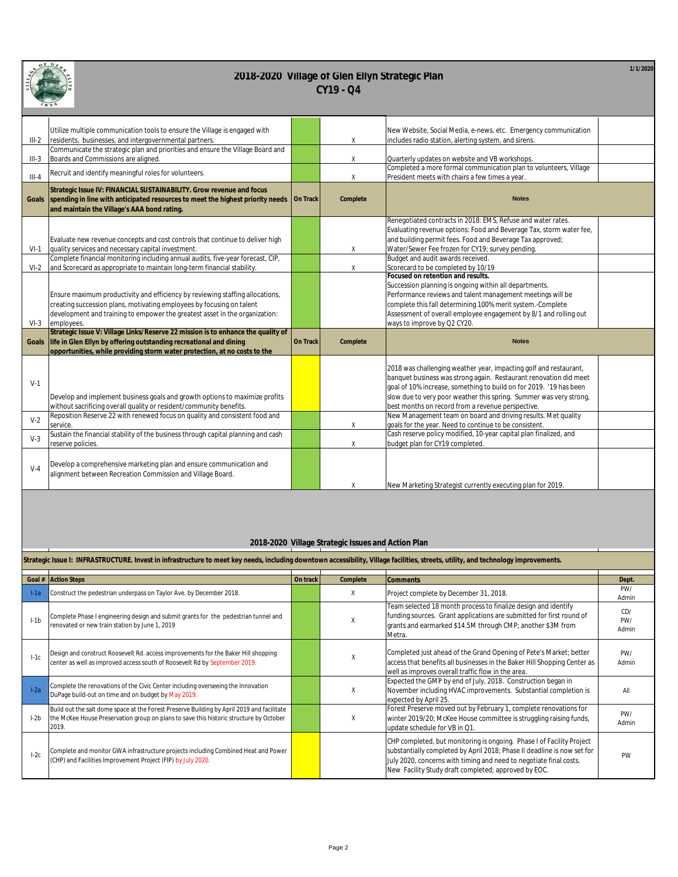|   | $G_{L,c}$<br>o |
|---|----------------|
| Ë |                |
|   |                |
|   | 8 <sup>5</sup> |

**1/1/2020**

| 1834      |                                                                                                                                                                                                                                                     |          |          |                                                                                                                                                                                                                                                                                                                                         |
|-----------|-----------------------------------------------------------------------------------------------------------------------------------------------------------------------------------------------------------------------------------------------------|----------|----------|-----------------------------------------------------------------------------------------------------------------------------------------------------------------------------------------------------------------------------------------------------------------------------------------------------------------------------------------|
| $III-2$   | Utilize multiple communication tools to ensure the Village is engaged with<br>residents, businesses, and intergovernmental partners.                                                                                                                |          | Χ        | New Website, Social Media, e-news, etc. Emergency communication<br>includes radio station, alerting system, and sirens.                                                                                                                                                                                                                 |
| $III-3$   | Communicate the strategic plan and priorities and ensure the Village Board and<br>Boards and Commissions are aligned.                                                                                                                               |          | Χ        | Quarterly updates on website and VB workshops.                                                                                                                                                                                                                                                                                          |
| $III - 4$ | Recruit and identify meaningful roles for volunteers.                                                                                                                                                                                               |          | $\chi$   | Completed a more formal communication plan to volunteers, Village<br>President meets with chairs a few times a year.                                                                                                                                                                                                                    |
| Goals     | Strategic Issue IV: FINANCIAL SUSTAINABILITY. Grow revenue and focus<br>spending in line with anticipated resources to meet the highest priority needs<br>and maintain the Village's AAA bond rating.                                               | On Track | Complete | <b>Notes</b>                                                                                                                                                                                                                                                                                                                            |
| $VI-1$    | Evaluate new revenue concepts and cost controls that continue to deliver high<br>quality services and necessary capital investment.                                                                                                                 |          | Χ        | Renegotiated contracts in 2018: EMS, Refuse and water rates.<br>Evaluating revenue options: Food and Beverage Tax, storm water fee,<br>and building permit fees. Food and Beverage Tax approved;<br>Water/Sewer Fee frozen for CY19; survey pending.                                                                                    |
| $VI-2$    | Complete financial monitoring including annual audits, five-year forecast, CIP,<br>and Scorecard as appropriate to maintain long-term financial stability.                                                                                          |          | Χ        | Budget and audit awards received.<br>Scorecard to be completed by 10/19                                                                                                                                                                                                                                                                 |
| $VI-3$    | Ensure maximum productivity and efficiency by reviewing staffing allocations,<br>creating succession plans, motivating employees by focusing on talent<br>development and training to empower the greatest asset in the organization:<br>employees. |          |          | Focused on retention and results.<br>Succession planning is ongoing within all departments.<br>Performance reviews and talent management meetings will be<br>complete this fall determining 100% merit system.-Complete<br>Assessment of overall employee engagement by 8/1 and rolling out<br>ways to improve by Q2 CY20.              |
| Goals     | Strategic Issue V: Village Links/Reserve 22 mission is to enhance the quality of<br>life in Glen Ellyn by offering outstanding recreational and dining<br>opportunities, while providing storm water protection, at no costs to the                 | On Track | Complete | <b>Notes</b>                                                                                                                                                                                                                                                                                                                            |
| $V-1$     | Develop and implement business goals and growth options to maximize profits<br>without sacrificing overall quality or resident/community benefits.                                                                                                  |          |          | 2018 was challenging weather year, impacting golf and restaurant,<br>banquet business was strong again. Restaurant renovation did meet<br>goal of 10% increase, something to build on for 2019. '19 has been<br>slow due to very poor weather this spring. Summer was very strong,<br>best months on record from a revenue perspective. |
| $V-2$     | Reposition Reserve 22 with renewed focus on quality and consistent food and<br>service.                                                                                                                                                             |          | Χ        | New Management team on board and driving results. Met quality<br>goals for the year. Need to continue to be consistent.                                                                                                                                                                                                                 |
| $V-3$     | Sustain the financial stability of the business through capital planning and cash<br>reserve policies.                                                                                                                                              |          | Χ        | Cash reserve policy modified, 10-year capital plan finalized, and<br>budget plan for CY19 completed.                                                                                                                                                                                                                                    |
| $V-4$     | Develop a comprehensive marketing plan and ensure communication and<br>alignment between Recreation Commission and Village Board.                                                                                                                   |          | Χ        | New Marketing Strategist currently executing plan for 2019.                                                                                                                                                                                                                                                                             |

#### **2018-2020 Village Strategic Issues and Action Plan**

|        | Strategic Issue I: INFRASTRUCTURE. Invest in infrastructure to meet key needs, including downtown accessibility, Village facilities, streets, utility, and technology improvements.           |          |          |                                                                                                                                                                                                                                                                                |                     |  |  |  |
|--------|-----------------------------------------------------------------------------------------------------------------------------------------------------------------------------------------------|----------|----------|--------------------------------------------------------------------------------------------------------------------------------------------------------------------------------------------------------------------------------------------------------------------------------|---------------------|--|--|--|
|        | Goal # Action Steps                                                                                                                                                                           | On track | Complete | <b>Comments</b>                                                                                                                                                                                                                                                                | Dept.               |  |  |  |
| $1-1a$ | Construct the pedestrian underpass on Taylor Ave. by December 2018.                                                                                                                           |          | Χ        | Project complete by December 31, 2018.                                                                                                                                                                                                                                         | PW/<br>Admin        |  |  |  |
| $1-1b$ | Complete Phase I engineering design and submit grants for the pedestrian tunnel and<br>renovated or new train station by June 1, 2019                                                         |          | X        | Team selected 18 month process to finalize design and identify<br>funding sources. Grant applications are submitted for first round of<br>grants and earmarked \$14.5M through CMP; another \$3M from<br>Metra.                                                                | CD/<br>PW/<br>Admin |  |  |  |
| $1-1c$ | Design and construct Roosevelt Rd. access improvements for the Baker Hill shopping<br>center as well as improved access south of Roosevelt Rd by September 2019.                              |          |          | Completed just ahead of the Grand Opening of Pete's Market; better<br>access that benefits all businesses in the Baker Hill Shopping Center as<br>well as improves overall traffic flow in the area.                                                                           | PW/<br>Admin        |  |  |  |
| $1-2a$ | Complete the renovations of the Civic Center including overseeing the Innovation<br>DuPage build-out on time and on budget by May 2019.                                                       |          | X        | Expected the GMP by end of July, 2018. Construction began in<br>November including HVAC improvements. Substantial completion is<br>expected by April 25.                                                                                                                       | All                 |  |  |  |
| $1-2b$ | Build out the salt dome space at the Forest Preserve Building by April 2019 and facilitate<br>the McKee House Preservation group on plans to save this historic structure by October<br>2019. |          |          | Forest Preserve moved out by February 1, complete renovations for<br>winter 2019/20; McKee House committee is struggling raising funds,<br>update schedule for VB in Q1.                                                                                                       | PW/<br>Admin        |  |  |  |
| $1-2c$ | Complete and monitor GWA infrastructure projects including Combined Heat and Power<br>(CHP) and Facilities Improvement Project (FIP) by July 2020.                                            |          |          | CHP completed, but monitoring is ongoing. Phase I of Facility Project<br>substantially completed by April 2018; Phase II deadline is now set for<br>July 2020, concerns with timing and need to negotiate final costs.<br>New Facility Study draft completed; approved by EOC. | PW                  |  |  |  |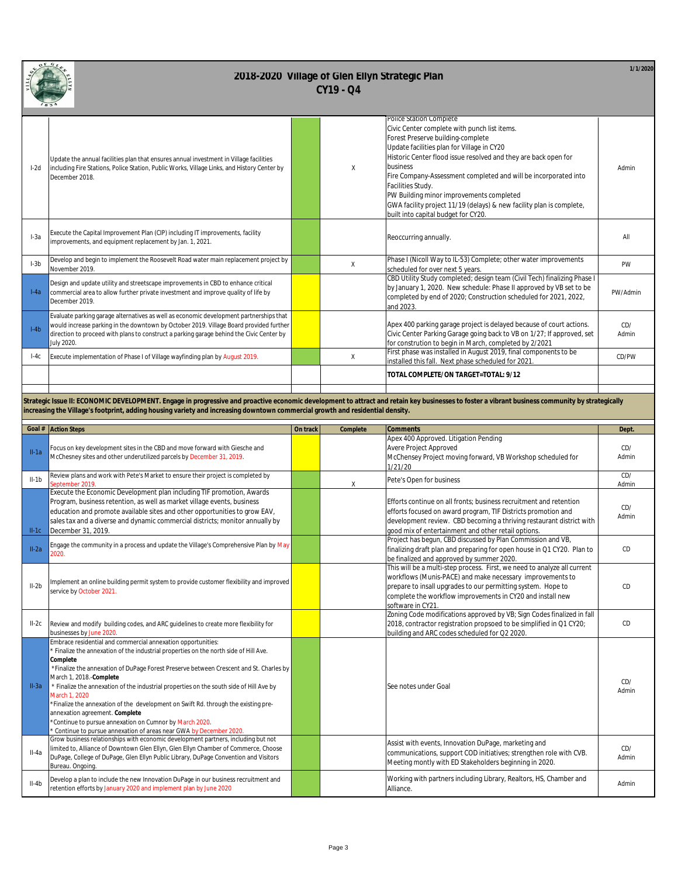

| * * *  |                                                                                                                                                                                                                                                                                            |  |        |                                                                                                                                                                                                                                                                                                                                                                                                                                                                                              |              |  |  |
|--------|--------------------------------------------------------------------------------------------------------------------------------------------------------------------------------------------------------------------------------------------------------------------------------------------|--|--------|----------------------------------------------------------------------------------------------------------------------------------------------------------------------------------------------------------------------------------------------------------------------------------------------------------------------------------------------------------------------------------------------------------------------------------------------------------------------------------------------|--------------|--|--|
| $l-2d$ | Update the annual facilities plan that ensures annual investment in Village facilities<br>including Fire Stations, Police Station, Public Works, Village Links, and History Center by<br>December 2018.                                                                                    |  | $\chi$ | Police Station Complete<br>Civic Center complete with punch list items.<br>Forest Preserve building-complete<br>Update facilities plan for Village in CY20<br>Historic Center flood issue resolved and they are back open for<br>business<br>Fire Company-Assessment completed and will be incorporated into<br>Facilities Study.<br>PW Building minor improvements completed<br>GWA facility project 11/19 (delays) & new facility plan is complete,<br>built into capital budget for CY20. | Admin        |  |  |
| $1-3a$ | Execute the Capital Improvement Plan (CIP) including IT improvements, facility<br>improvements, and equipment replacement by Jan. 1, 2021.                                                                                                                                                 |  |        | Reoccurring annually.                                                                                                                                                                                                                                                                                                                                                                                                                                                                        | All          |  |  |
| $I-3b$ | Develop and begin to implement the Roosevelt Road water main replacement project by<br>November 2019.                                                                                                                                                                                      |  | X      | Phase I (Nicoll Way to IL-53) Complete; other water improvements<br>scheduled for over next 5 years.                                                                                                                                                                                                                                                                                                                                                                                         | PW           |  |  |
| $1-4a$ | Design and update utility and streetscape improvements in CBD to enhance critical<br>commercial area to allow further private investment and improve quality of life by<br>December 2019.                                                                                                  |  |        | CBD Utility Study completed; design team (Civil Tech) finalizing Phase I<br>by January 1, 2020. New schedule: Phase II approved by VB set to be<br>completed by end of 2020; Construction scheduled for 2021, 2022,<br>and 2023.                                                                                                                                                                                                                                                             | PW/Admin     |  |  |
| $I-4b$ | Evaluate parking garage alternatives as well as economic development partnerships that<br>would increase parking in the downtown by October 2019. Village Board provided further<br>direction to proceed with plans to construct a parking garage behind the Civic Center by<br>July 2020. |  |        | Apex 400 parking garage project is delayed because of court actions.<br>Civic Center Parking Garage going back to VB on 1/27; If approved, set<br>for constrution to begin in March, completed by 2/2021                                                                                                                                                                                                                                                                                     | CD/<br>Admin |  |  |
| $1-4c$ | Execute implementation of Phase I of Village wayfinding plan by August 2019.                                                                                                                                                                                                               |  | X      | First phase was installed in August 2019, final components to be<br>installed this fall. Next phase scheduled for 2021                                                                                                                                                                                                                                                                                                                                                                       | CD/PW        |  |  |
|        |                                                                                                                                                                                                                                                                                            |  |        | TOTAL COMPLETE/ON TARGET=TOTAL: 9/12                                                                                                                                                                                                                                                                                                                                                                                                                                                         |              |  |  |
|        |                                                                                                                                                                                                                                                                                            |  |        |                                                                                                                                                                                                                                                                                                                                                                                                                                                                                              |              |  |  |

**Strategic Issue II: ECONOMIC DEVELOPMENT. Engage in progressive and proactive economic development to attract and retain key businesses to foster a vibrant business community by strategically increasing the Village's footprint, adding housing variety and increasing downtown commercial growth and residential density.**

|         | Goal # Action Steps                                                                                                                                                                                                                                                                                                                                                                                                                                                                                                                                                                                                                                                                                                                            | On track | Complete | <b>Comments</b>                                                                                                                                                                                                                                                                          | Dept.        |
|---------|------------------------------------------------------------------------------------------------------------------------------------------------------------------------------------------------------------------------------------------------------------------------------------------------------------------------------------------------------------------------------------------------------------------------------------------------------------------------------------------------------------------------------------------------------------------------------------------------------------------------------------------------------------------------------------------------------------------------------------------------|----------|----------|------------------------------------------------------------------------------------------------------------------------------------------------------------------------------------------------------------------------------------------------------------------------------------------|--------------|
| $II-1a$ | Focus on key development sites in the CBD and move forward with Giesche and<br>McChesney sites and other underutilized parcels by December 31, 2019.                                                                                                                                                                                                                                                                                                                                                                                                                                                                                                                                                                                           |          |          | Apex 400 Approved. Litigation Pending<br>Avere Project Approved<br>McChensey Project moving forward, VB Workshop scheduled for<br>1/21/20                                                                                                                                                | CD/<br>Admin |
| $II-1b$ | Review plans and work with Pete's Market to ensure their project is completed by<br>September 2019                                                                                                                                                                                                                                                                                                                                                                                                                                                                                                                                                                                                                                             |          | χ        | Pete's Open for business                                                                                                                                                                                                                                                                 | CD/<br>Admin |
| $II-1C$ | Execute the Economic Development plan including TIF promotion, Awards<br>Program, business retention, as well as market village events, business<br>education and promote available sites and other opportunities to grow EAV,<br>sales tax and a diverse and dynamic commercial districts; monitor annually by<br>December 31, 2019.                                                                                                                                                                                                                                                                                                                                                                                                          |          |          | Efforts continue on all fronts: business recruitment and retention<br>efforts focused on award program, TIF Districts promotion and<br>development review. CBD becoming a thriving restaurant district with<br>good mix of entertainment and other retail options.                       | CD/<br>Admin |
| $II-2a$ | Engage the community in a process and update the Village's Comprehensive Plan by May<br>2020.                                                                                                                                                                                                                                                                                                                                                                                                                                                                                                                                                                                                                                                  |          |          | Project has begun, CBD discussed by Plan Commission and VB,<br>finalizing draft plan and preparing for open house in Q1 CY20. Plan to<br>be finalized and approved by summer 2020.                                                                                                       | CD           |
| $II-2b$ | Implement an online building permit system to provide customer flexibility and improved<br>service by October 2021.                                                                                                                                                                                                                                                                                                                                                                                                                                                                                                                                                                                                                            |          |          | This will be a multi-step process. First, we need to analyze all current<br>workflows (Munis-PACE) and make necessary improvements to<br>prepare to insall upgrades to our permitting system. Hope to<br>complete the workflow improvements in CY20 and install new<br>software in CY21. | CD           |
| $II-2c$ | Review and modify building codes, and ARC guidelines to create more flexibility for<br>businesses by June 2020                                                                                                                                                                                                                                                                                                                                                                                                                                                                                                                                                                                                                                 |          |          | Zoning Code modifications approved by VB; Sign Codes finalized in fall<br>2018, contractor registration propsoed to be simplified in Q1 CY20;<br>building and ARC codes scheduled for Q2 2020.                                                                                           | CD           |
| $II-3a$ | Embrace residential and commercial annexation opportunities:<br>* Finalize the annexation of the industrial properties on the north side of Hill Ave.<br>Complete<br>*Finalize the annexation of DuPage Forest Preserve between Crescent and St. Charles by<br>March 1, 2018.-Complete<br>* Finalize the annexation of the industrial properties on the south side of Hill Ave by<br>March 1, 2020<br>*Finalize the annexation of the development on Swift Rd. through the existing pre-<br>annexation agreement. Complete<br>*Continue to pursue annexation on Cumnor by March 2020.<br>Continue to pursue annexation of areas near GWA by December 2020<br>Grow business relationships with economic development partners, including but not |          |          | See notes under Goal<br>Assist with events, Innovation DuPage, marketing and                                                                                                                                                                                                             | CD/<br>Admin |
| $II-4a$ | limited to, Alliance of Downtown Glen Ellyn, Glen Ellyn Chamber of Commerce, Choose<br>DuPage, College of DuPage, Glen Ellyn Public Library, DuPage Convention and Visitors<br>Bureau. Ongoing.                                                                                                                                                                                                                                                                                                                                                                                                                                                                                                                                                |          |          | communications, support COD initiatives; strengthen role with CVB.<br>Meeting montly with ED Stakeholders beginning in 2020.                                                                                                                                                             | CD/<br>Admin |
| $II-4b$ | Develop a plan to include the new Innovation DuPage in our business recruitment and<br>retention efforts by January 2020 and implement plan by June 2020                                                                                                                                                                                                                                                                                                                                                                                                                                                                                                                                                                                       |          |          | Working with partners including Library, Realtors, HS, Chamber and<br>Alliance.                                                                                                                                                                                                          | Admin        |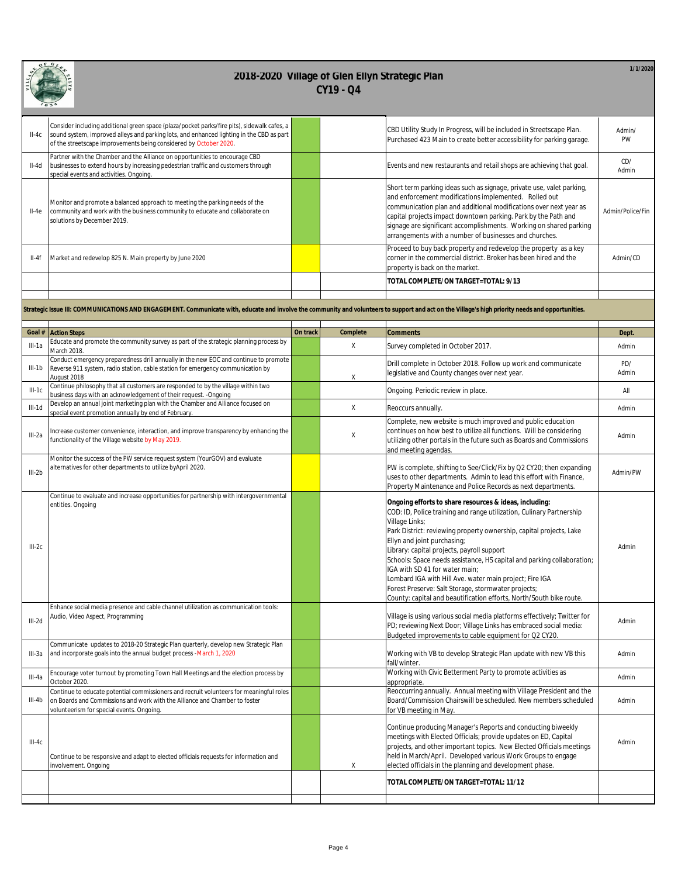| $\bullet$ | GLE<br>$\mathbf{o}$ r |
|-----------|-----------------------|
| Ï         |                       |
|           | R                     |

| $II-4C$  | Consider including additional green space (plaza/pocket parks/fire pits), sidewalk cafes, a<br>sound system, improved alleys and parking lots, and enhanced lighting in the CBD as part<br>of the streetscape improvements being considered by October 2020. |          |             | CBD Utility Study In Progress, will be included in Streetscape Plan.<br>Purchased 423 Main to create better accessibility for parking garage.                                                                                                                                                                                                                                                                                                                                                                                                                                                             | Admin/<br>PW     |
|----------|--------------------------------------------------------------------------------------------------------------------------------------------------------------------------------------------------------------------------------------------------------------|----------|-------------|-----------------------------------------------------------------------------------------------------------------------------------------------------------------------------------------------------------------------------------------------------------------------------------------------------------------------------------------------------------------------------------------------------------------------------------------------------------------------------------------------------------------------------------------------------------------------------------------------------------|------------------|
| $II-4d$  | Partner with the Chamber and the Alliance on opportunities to encourage CBD<br>businesses to extend hours by increasing pedestrian traffic and customers through<br>special events and activities. Ongoing.                                                  |          |             | Events and new restaurants and retail shops are achieving that goal.                                                                                                                                                                                                                                                                                                                                                                                                                                                                                                                                      | CD/<br>Admin     |
| $II-4e$  | Monitor and promote a balanced approach to meeting the parking needs of the<br>community and work with the business community to educate and collaborate on<br>solutions by December 2019.                                                                   |          |             | Short term parking ideas such as signage, private use, valet parking,<br>and enforcement modifications implemented. Rolled out<br>communication plan and additional modifications over next year as<br>capital projects impact downtown parking. Park by the Path and<br>signage are significant accomplishments. Working on shared parking<br>arrangements with a number of businesses and churches.                                                                                                                                                                                                     | Admin/Police/Fin |
| II-4f    | Market and redevelop 825 N. Main property by June 2020                                                                                                                                                                                                       |          |             | Proceed to buy back property and redevelop the property as a key<br>corner in the commercial district. Broker has been hired and the<br>property is back on the market.                                                                                                                                                                                                                                                                                                                                                                                                                                   | Admin/CD         |
|          |                                                                                                                                                                                                                                                              |          |             | TOTAL COMPLETE/ON TARGET=TOTAL: 9/13                                                                                                                                                                                                                                                                                                                                                                                                                                                                                                                                                                      |                  |
|          |                                                                                                                                                                                                                                                              |          |             |                                                                                                                                                                                                                                                                                                                                                                                                                                                                                                                                                                                                           |                  |
|          | Strategic Issue III: COMMUNICATIONS AND ENGAGEMENT. Communicate with, educate and involve the community and volunteers to support and act on the Village's high priority needs and opportunities.                                                            |          |             |                                                                                                                                                                                                                                                                                                                                                                                                                                                                                                                                                                                                           |                  |
| Goal #   | <b>Action Steps</b>                                                                                                                                                                                                                                          | On track | Complete    | <b>Comments</b>                                                                                                                                                                                                                                                                                                                                                                                                                                                                                                                                                                                           | Dept.            |
| III-1a   | Educate and promote the community survey as part of the strategic planning process by<br>March 2018.                                                                                                                                                         |          | $\mathsf X$ | Survey completed in October 2017.                                                                                                                                                                                                                                                                                                                                                                                                                                                                                                                                                                         | Admin            |
| $III-1b$ | Conduct emergency preparedness drill annually in the new EOC and continue to promote<br>Reverse 911 system, radio station, cable station for emergency communication by<br>August 2018                                                                       |          | Χ           | Drill complete in October 2018. Follow up work and communicate<br>legislative and County changes over next year.                                                                                                                                                                                                                                                                                                                                                                                                                                                                                          | PD/<br>Admin     |
| $III-1C$ | Continue philosophy that all customers are responded to by the village within two<br>business days with an acknowledgement of their request. - Ongoing                                                                                                       |          |             | Ongoing. Periodic review in place.                                                                                                                                                                                                                                                                                                                                                                                                                                                                                                                                                                        | All              |
| $III-1d$ | Develop an annual joint marketing plan with the Chamber and Alliance focused on<br>special event promotion annually by end of February                                                                                                                       |          | $\mathsf X$ | Reoccurs annually.                                                                                                                                                                                                                                                                                                                                                                                                                                                                                                                                                                                        | Admin            |
| $III-2a$ | Increase customer convenience, interaction, and improve transparency by enhancing the<br>functionality of the Village website by May 2019.                                                                                                                   |          | $\mathsf X$ | Complete, new website is much improved and public education<br>continues on how best to utilize all functions. Will be considering<br>utilizing other portals in the future such as Boards and Commissions<br>and meeting agendas.                                                                                                                                                                                                                                                                                                                                                                        | Admin            |
| $III-2b$ | Monitor the success of the PW service request system (YourGOV) and evaluate<br>alternatives for other departments to utilize byApril 2020.                                                                                                                   |          |             | PW is complete, shifting to See/Click/Fix by Q2 CY20; then expanding<br>uses to other departments. Admin to lead this effort with Finance,<br>Property Maintenance and Police Records as next departments.                                                                                                                                                                                                                                                                                                                                                                                                | Admin/PW         |
| $III-2C$ | Continue to evaluate and increase opportunities for partnership with intergovernmental<br>entities. Ongoing                                                                                                                                                  |          |             | Ongoing efforts to share resources & ideas, including:<br>COD: ID, Police training and range utilization, Culinary Partnership<br>Village Links;<br>Park District: reviewing property ownership, capital projects, Lake<br>Ellyn and joint purchasing;<br>Library: capital projects, payroll support<br>Schools: Space needs assistance, HS capital and parking collaboration;<br>IGA with SD 41 for water main;<br>Lombard IGA with Hill Ave. water main project; Fire IGA<br>Forest Preserve: Salt Storage, stormwater projects;<br>County: capital and beautification efforts, North/South bike route. | Admin            |
| $III-2d$ | Enhance social media presence and cable channel utilization as communication tools:<br>Audio, Video Aspect, Programming                                                                                                                                      |          |             | Village is using various social media platforms effectively; Twitter for<br>PD; reviewing Next Door; Village Links has embraced social media:<br>Budgeted improvements to cable equipment for Q2 CY20.                                                                                                                                                                                                                                                                                                                                                                                                    | Admin            |
| III-3a   | Communicate updates to 2018-20 Strategic Plan quarterly, develop new Strategic Plan<br>and incorporate goals into the annual budget process -March 1, 2020                                                                                                   |          |             | Working with VB to develop Strategic Plan update with new VB this<br>fall/winter.                                                                                                                                                                                                                                                                                                                                                                                                                                                                                                                         | Admin            |
| III-4a   | Encourage voter turnout by promoting Town Hall Meetings and the election process by<br>October 2020.                                                                                                                                                         |          |             | Working with Civic Betterment Party to promote activities as<br>appropriate.                                                                                                                                                                                                                                                                                                                                                                                                                                                                                                                              | Admin            |
| III-4b   | Continue to educate potential commissioners and recruit volunteers for meaningful roles<br>on Boards and Commissions and work with the Alliance and Chamber to foster<br>volunteerism for special events. Ongoing.                                           |          |             | Reoccurring annually. Annual meeting with Village President and the<br>Board/Commission Chairswill be scheduled. New members scheduled<br>for VB meeting in May.                                                                                                                                                                                                                                                                                                                                                                                                                                          | Admin            |
| $III-4C$ | Continue to be responsive and adapt to elected officials requests for information and<br>involvement. Ongoing                                                                                                                                                |          | Χ           | Continue producing Manager's Reports and conducting biweekly<br>meetings with Elected Officials; provide updates on ED, Capital<br>projects, and other important topics. New Elected Officials meetings<br>held in March/April. Developed various Work Groups to engage<br>elected officials in the planning and development phase.                                                                                                                                                                                                                                                                       | Admin            |
|          |                                                                                                                                                                                                                                                              |          |             | TOTAL COMPLETE/ON TARGET=TOTAL: 11/12                                                                                                                                                                                                                                                                                                                                                                                                                                                                                                                                                                     |                  |
|          |                                                                                                                                                                                                                                                              |          |             |                                                                                                                                                                                                                                                                                                                                                                                                                                                                                                                                                                                                           |                  |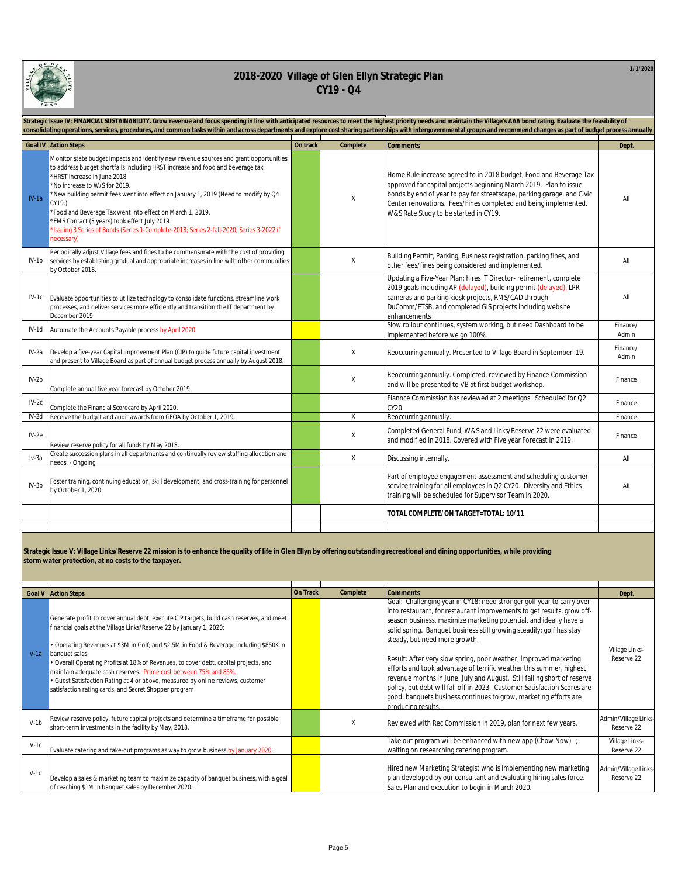

|         | Strategic Issue IV: FINANCIAL SUSTAINABILITY. Grow revenue and focus spending in line with anticipated resources to meet the highest priority needs and maintain the Village's AAA bond rating. Evaluate the feasibility of<br>consolidating operations, services, procedures, and common tasks within and across departments and explore cost sharing partnerships with intergovernmental groups and recommend changes as part of budget process annually                                                                                                       |          |          |                                                                                                                                                                                                                                                                                                                               |                   |  |  |
|---------|------------------------------------------------------------------------------------------------------------------------------------------------------------------------------------------------------------------------------------------------------------------------------------------------------------------------------------------------------------------------------------------------------------------------------------------------------------------------------------------------------------------------------------------------------------------|----------|----------|-------------------------------------------------------------------------------------------------------------------------------------------------------------------------------------------------------------------------------------------------------------------------------------------------------------------------------|-------------------|--|--|
|         | <b>Goal IV Action Steps</b>                                                                                                                                                                                                                                                                                                                                                                                                                                                                                                                                      | On track | Complete | <b>Comments</b>                                                                                                                                                                                                                                                                                                               | Dept.             |  |  |
| $IV-1a$ | Monitor state budget impacts and identify new revenue sources and grant opportunities<br>to address budget shortfalls including HRST increase and food and beverage tax:<br>*HRST Increase in June 2018<br>*No increase to W/S for 2019.<br>*New building permit fees went into effect on January 1, 2019 (Need to modify by Q4<br>CY19.)<br>*Food and Beverage Tax went into effect on March 1, 2019.<br>*EMS Contact (3 years) took effect July 2019<br>*Issuing 3 Series of Bonds (Series 1-Complete-2018; Series 2-fall-2020; Series 3-2022 if<br>necessary) |          | Χ        | Home Rule increase agreed to in 2018 budget, Food and Beverage Tax<br>approved for capital projects beginning March 2019. Plan to issue<br>bonds by end of year to pay for streetscape, parking garage, and Civic<br>Center renovations. Fees/Fines completed and being implemented.<br>W&S Rate Study to be started in CY19. | All               |  |  |
| IV-1b   | Periodically adjust Village fees and fines to be commensurate with the cost of providing<br>services by establishing gradual and appropriate increases in line with other communities<br>by October 2018.                                                                                                                                                                                                                                                                                                                                                        |          | Χ        | Building Permit, Parking, Business registration, parking fines, and<br>other fees/fines being considered and implemented.                                                                                                                                                                                                     | All               |  |  |
|         | IV-1c Evaluate opportunities to utilize technology to consolidate functions, streamline work<br>processes, and deliver services more efficiently and transition the IT department by<br>December 2019                                                                                                                                                                                                                                                                                                                                                            |          |          | Updating a Five-Year Plan; hires IT Director-retirement, complete<br>2019 goals including AP (delayed), building permit (delayed), LPR<br>cameras and parking kiosk projects, RMS/CAD through<br>DuComm/ETSB, and completed GIS projects including website<br>enhancements                                                    | All               |  |  |
| IV-1d   | Automate the Accounts Payable process by April 2020.                                                                                                                                                                                                                                                                                                                                                                                                                                                                                                             |          |          | Slow rollout continues, system working, but need Dashboard to be<br>implemented before we go 100%.                                                                                                                                                                                                                            | Finance/<br>Admin |  |  |
| IV-2a   | Develop a five-year Capital Improvement Plan (CIP) to guide future capital investment<br>and present to Village Board as part of annual budget process annually by August 2018.                                                                                                                                                                                                                                                                                                                                                                                  |          | χ        | Reoccurring annually. Presented to Village Board in September '19.                                                                                                                                                                                                                                                            | Finance/<br>Admin |  |  |
| $IV-2b$ | Complete annual five year forecast by October 2019.                                                                                                                                                                                                                                                                                                                                                                                                                                                                                                              |          | χ        | Reoccurring annually. Completed, reviewed by Finance Commission<br>and will be presented to VB at first budget workshop.                                                                                                                                                                                                      | Finance           |  |  |
| $IV-2c$ | Complete the Financial Scorecard by April 2020.                                                                                                                                                                                                                                                                                                                                                                                                                                                                                                                  |          |          | Fiannce Commission has reviewed at 2 meetigns. Scheduled for Q2<br><b>CY20</b>                                                                                                                                                                                                                                                | Finance           |  |  |
| $IV-2d$ | Receive the budget and audit awards from GFOA by October 1, 2019.                                                                                                                                                                                                                                                                                                                                                                                                                                                                                                |          | Χ        | Reoccurring annually.                                                                                                                                                                                                                                                                                                         | Finance           |  |  |
| $IV-2e$ | Review reserve policy for all funds by May 2018.                                                                                                                                                                                                                                                                                                                                                                                                                                                                                                                 |          | Χ        | Completed General Fund, W&S and Links/Reserve 22 were evaluated<br>and modified in 2018. Covered with Five year Forecast in 2019.                                                                                                                                                                                             | Finance           |  |  |
| lv-3a   | Create succession plans in all departments and continually review staffing allocation and<br>needs. - Ongoing                                                                                                                                                                                                                                                                                                                                                                                                                                                    |          | Χ        | Discussing internally.                                                                                                                                                                                                                                                                                                        | All               |  |  |
| $IV-3b$ | Foster training, continuing education, skill development, and cross-training for personnel<br>by October 1, 2020.                                                                                                                                                                                                                                                                                                                                                                                                                                                |          |          | Part of employee engagement assessment and scheduling customer<br>service training for all employees in Q2 CY20. Diversity and Ethics<br>training will be scheduled for Supervisor Team in 2020.                                                                                                                              | All               |  |  |
|         |                                                                                                                                                                                                                                                                                                                                                                                                                                                                                                                                                                  |          |          | TOTAL COMPLETE/ON TARGET=TOTAL: 10/11                                                                                                                                                                                                                                                                                         |                   |  |  |
|         |                                                                                                                                                                                                                                                                                                                                                                                                                                                                                                                                                                  |          |          |                                                                                                                                                                                                                                                                                                                               |                   |  |  |

**Strategic Issue V: Village Links/Reserve 22 mission is to enhance the quality of life in Glen Ellyn by offering outstanding recreational and dining opportunities, while providing storm water protection, at no costs to the taxpayer.**

|        | <b>Goal V</b> Action Steps                                                                                                                                                                                                                                                                                                                                                                                                                                                                                                                                                          | On Track | Complete | <b>Comments</b>                                                                                                                                                                                                                                                                                                                                                                                                                                                                                                                                                                                                                                                                                                           | Dept.                              |
|--------|-------------------------------------------------------------------------------------------------------------------------------------------------------------------------------------------------------------------------------------------------------------------------------------------------------------------------------------------------------------------------------------------------------------------------------------------------------------------------------------------------------------------------------------------------------------------------------------|----------|----------|---------------------------------------------------------------------------------------------------------------------------------------------------------------------------------------------------------------------------------------------------------------------------------------------------------------------------------------------------------------------------------------------------------------------------------------------------------------------------------------------------------------------------------------------------------------------------------------------------------------------------------------------------------------------------------------------------------------------------|------------------------------------|
| $V-1a$ | Generate profit to cover annual debt, execute CIP targets, build cash reserves, and meet<br>financial goals at the Village Links/Reserve 22 by January 1, 2020:<br>• Operating Revenues at \$3M in Golf; and \$2.5M in Food & Beverage including \$850K in<br>banquet sales<br>• Overall Operating Profits at 18% of Revenues, to cover debt, capital projects, and<br>maintain adequate cash reserves. Prime cost between 75% and 85%.<br>• Guest Satisfaction Rating at 4 or above, measured by online reviews, customer<br>satisfaction rating cards, and Secret Shopper program |          |          | Goal: Challenging year in CY18; need stronger golf year to carry over<br>into restaurant, for restaurant improvements to get results, grow off-<br>season business, maximize marketing potential, and ideally have a<br>solid spring. Banquet business still growing steadily; golf has stay<br>steady, but need more growth.<br>Result: After very slow spring, poor weather, improved marketing<br>efforts and took advantage of terrific weather this summer, highest<br>revenue months in June, July and August. Still falling short of reserve<br>policy, but debt will fall off in 2023. Customer Satisfaction Scores are<br>good; banquets business continues to grow, marketing efforts are<br>producing results. | Village Links-<br>Reserve 22       |
| $V-1h$ | Review reserve policy, future capital projects and determine a timeframe for possible<br>short-term investments in the facility by May, 2018.                                                                                                                                                                                                                                                                                                                                                                                                                                       |          | X        | Reviewed with Rec Commission in 2019, plan for next few years.                                                                                                                                                                                                                                                                                                                                                                                                                                                                                                                                                                                                                                                            | Admin/Village Links-<br>Reserve 22 |
| $V-1c$ | Evaluate catering and take-out programs as way to grow business by January 2020.                                                                                                                                                                                                                                                                                                                                                                                                                                                                                                    |          |          | Take out program will be enhanced with new app (Chow Now) ;<br>waiting on researching catering program.                                                                                                                                                                                                                                                                                                                                                                                                                                                                                                                                                                                                                   | Village Links-<br>Reserve 22       |
| $V-1d$ | Develop a sales & marketing team to maximize capacity of banquet business, with a goal<br>of reaching \$1M in banquet sales by December 2020.                                                                                                                                                                                                                                                                                                                                                                                                                                       |          |          | Hired new Marketing Strategist who is implementing new marketing<br>plan developed by our consultant and evaluating hiring sales force.<br>Sales Plan and execution to begin in March 2020.                                                                                                                                                                                                                                                                                                                                                                                                                                                                                                                               | Admin/Village Links-<br>Reserve 22 |